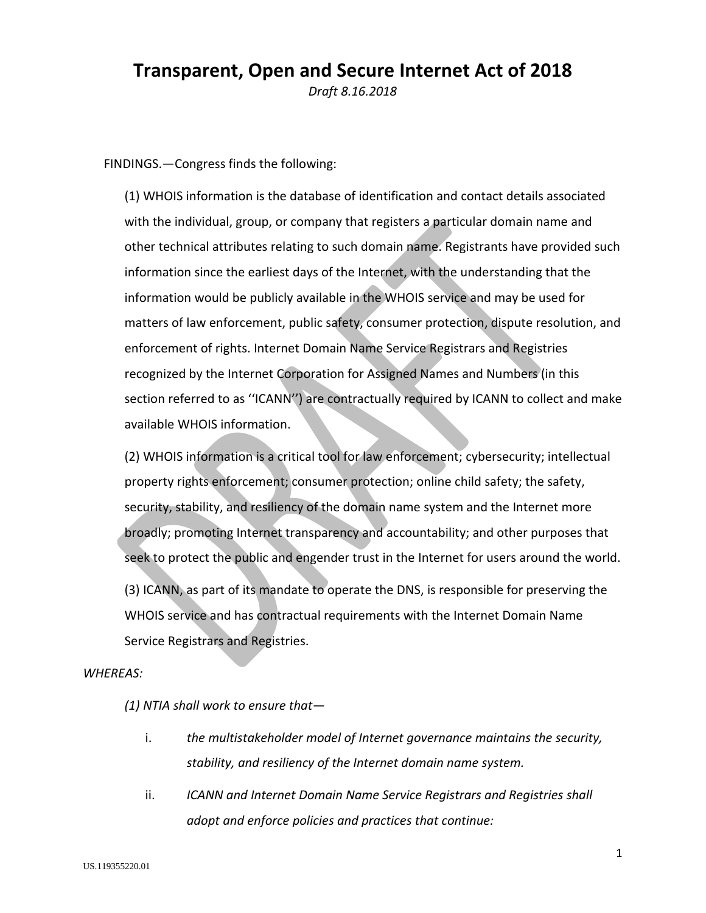# **Transparent, Open and Secure Internet Act of 2018**

*Draft 8.16.2018*

FINDINGS.—Congress finds the following:

(1) WHOIS information is the database of identification and contact details associated with the individual, group, or company that registers a particular domain name and other technical attributes relating to such domain name. Registrants have provided such information since the earliest days of the Internet, with the understanding that the information would be publicly available in the WHOIS service and may be used for matters of law enforcement, public safety, consumer protection, dispute resolution, and enforcement of rights. Internet Domain Name Service Registrars and Registries recognized by the Internet Corporation for Assigned Names and Numbers (in this section referred to as ''ICANN'') are contractually required by ICANN to collect and make available WHOIS information.

(2) WHOIS information is a critical tool for law enforcement; cybersecurity; intellectual property rights enforcement; consumer protection; online child safety; the safety, security, stability, and resiliency of the domain name system and the Internet more broadly; promoting Internet transparency and accountability; and other purposes that seek to protect the public and engender trust in the Internet for users around the world.

(3) ICANN, as part of its mandate to operate the DNS, is responsible for preserving the WHOIS service and has contractual requirements with the Internet Domain Name Service Registrars and Registries.

#### *WHEREAS:*

*(1) NTIA shall work to ensure that—*

- i. *the multistakeholder model of Internet governance maintains the security, stability, and resiliency of the Internet domain name system.*
- ii. *ICANN and Internet Domain Name Service Registrars and Registries shall adopt and enforce policies and practices that continue:*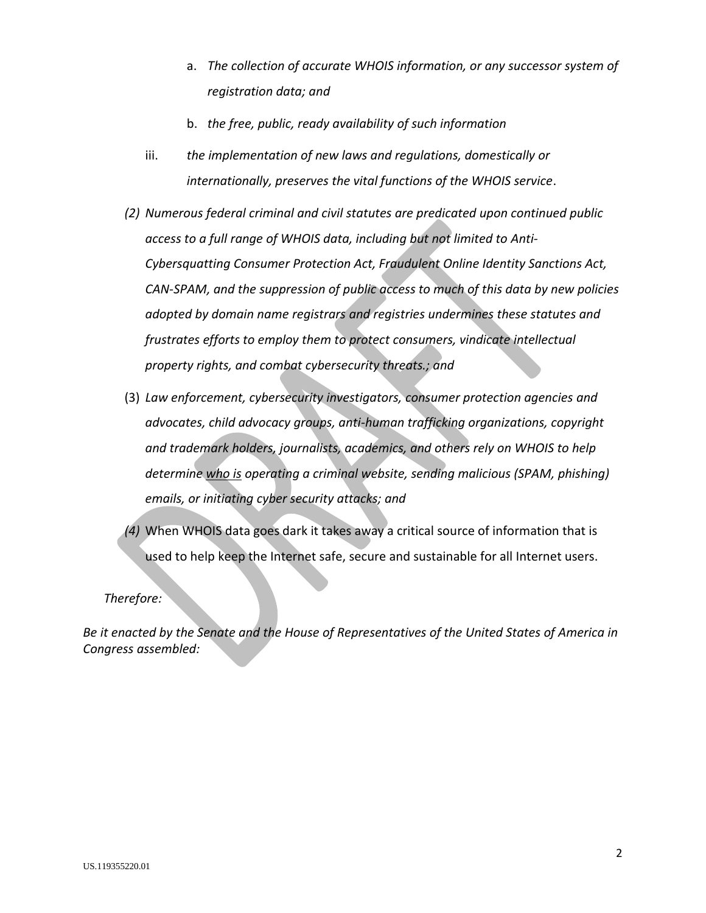- a. *The collection of accurate WHOIS information, or any successor system of registration data; and*
- b. *the free, public, ready availability of such information*
- iii. *the implementation of new laws and regulations, domestically or internationally, preserves the vital functions of the WHOIS service*.
- *(2) Numerous federal criminal and civil statutes are predicated upon continued public access to a full range of WHOIS data, including but not limited to Anti-Cybersquatting Consumer Protection Act, Fraudulent Online Identity Sanctions Act, CAN-SPAM, and the suppression of public access to much of this data by new policies adopted by domain name registrars and registries undermines these statutes and frustrates efforts to employ them to protect consumers, vindicate intellectual property rights, and combat cybersecurity threats.; and*
- (3) *Law enforcement, cybersecurity investigators, consumer protection agencies and advocates, child advocacy groups, anti-human trafficking organizations, copyright and trademark holders, journalists, academics, and others rely on WHOIS to help determine who is operating a criminal website, sending malicious (SPAM, phishing) emails, or initiating cyber security attacks; and*
- *(4)* When WHOIS data goes dark it takes away a critical source of information that is used to help keep the Internet safe, secure and sustainable for all Internet users.

#### *Therefore:*

*Be it enacted by the Senate and the House of Representatives of the United States of America in Congress assembled:*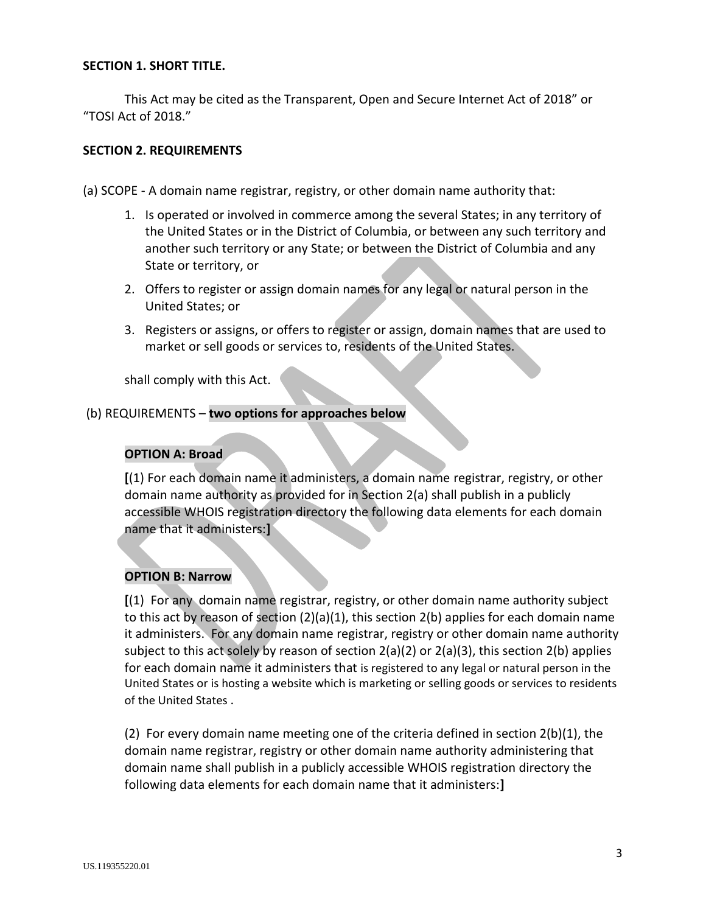## **SECTION 1. SHORT TITLE.**

This Act may be cited as the Transparent, Open and Secure Internet Act of 2018" or "TOSI Act of 2018."

#### **SECTION 2. REQUIREMENTS**

(a) SCOPE - A domain name registrar, registry, or other domain name authority that:

- 1. Is operated or involved in commerce among the several States; in any territory of the United States or in the District of Columbia, or between any such territory and another such territory or any State; or between the District of Columbia and any State or territory, or
- 2. Offers to register or assign domain names for any legal or natural person in the United States; or
- 3. Registers or assigns, or offers to register or assign, domain names that are used to market or sell goods or services to, residents of the United States.

shall comply with this Act.

## (b) REQUIREMENTS – **two options for approaches below**

#### **OPTION A: Broad**

**[**(1) For each domain name it administers, a domain name registrar, registry, or other domain name authority as provided for in Section 2(a) shall publish in a publicly accessible WHOIS registration directory the following data elements for each domain name that it administers:**]**

# **OPTION B: Narrow**

**[**(1) For any domain name registrar, registry, or other domain name authority subject to this act by reason of section (2)(a)(1), this section 2(b) applies for each domain name it administers. For any domain name registrar, registry or other domain name authority subject to this act solely by reason of section 2(a)(2) or 2(a)(3), this section 2(b) applies for each domain name it administers that is registered to any legal or natural person in the United States or is hosting a website which is marketing or selling goods or services to residents of the United States .

(2) For every domain name meeting one of the criteria defined in section 2(b)(1), the domain name registrar, registry or other domain name authority administering that domain name shall publish in a publicly accessible WHOIS registration directory the following data elements for each domain name that it administers:**]**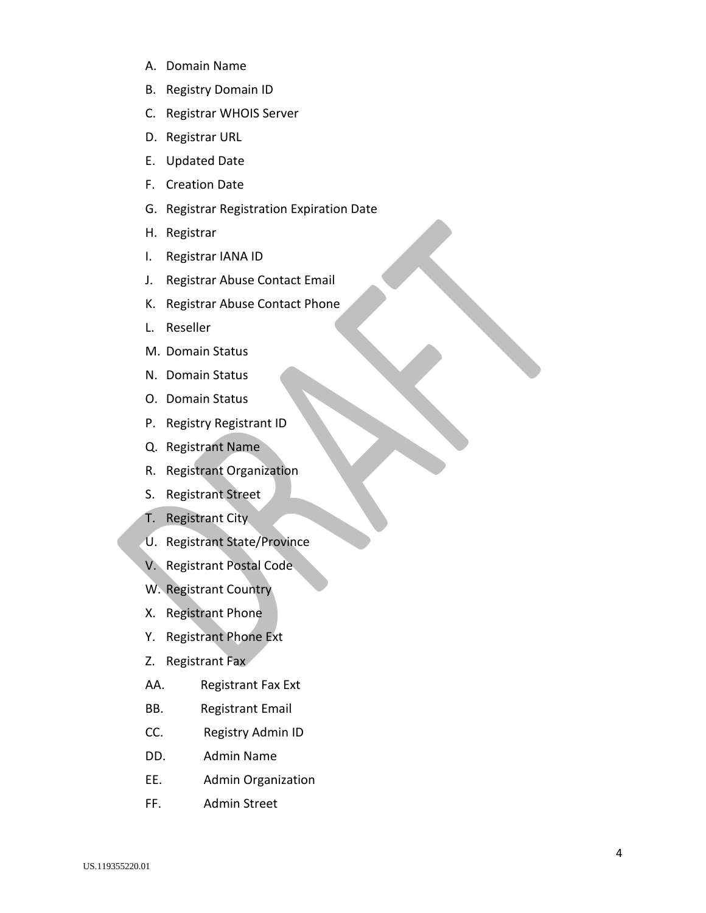- A. Domain Name
- B. Registry Domain ID
- C. Registrar WHOIS Server
- D. Registrar URL
- E. Updated Date
- F. Creation Date
- G. Registrar Registration Expiration Date
- H. Registrar
- I. Registrar IANA ID
- J. Registrar Abuse Contact Email
- K. Registrar Abuse Contact Phone
- L. Reseller
- M. Domain Status
- N. Domain Status
- O. Domain Status
- P. Registry Registrant ID
- Q. Registrant Name
- R. Registrant Organization
- S. Registrant Street
- T. Registrant City
- U. Registrant State/Province
- V. Registrant Postal Code
- W. Registrant Country
- X. Registrant Phone
- Y. Registrant Phone Ext
- Z. Registrant Fax
- AA. Registrant Fax Ext
- BB. Registrant Email
- CC. Registry Admin ID
- DD. Admin Name
- EE. Admin Organization
- FF. Admin Street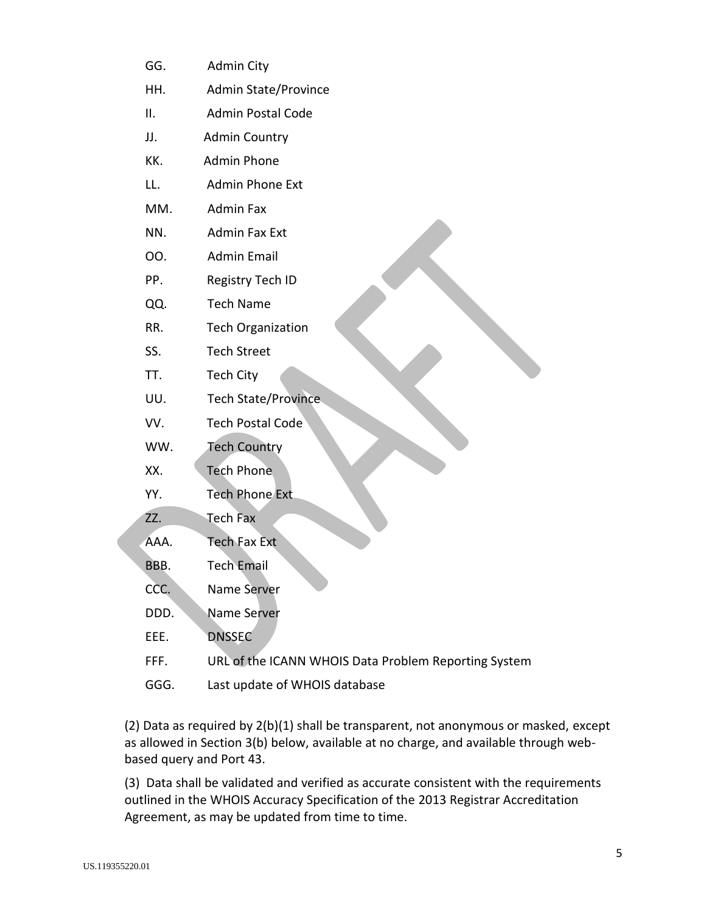- GG. Admin City
- HH. Admin State/Province
- II. Admin Postal Code
- JJ. Admin Country
- KK. Admin Phone
- LL. Admin Phone Ext
- MM. Admin Fax
- NN. Admin Fax Ext
- OO. Admin Email
- PP. Registry Tech ID
- QQ. Tech Name
- RR. Tech Organization
- SS. Tech Street
- TT. Tech City
- UU. Tech State/Province
- VV. Tech Postal Code
- WW. Tech Country
- XX. Tech Phone
- YY. Tech Phone Ext

ZZ. Tech Fax

- AAA. Tech Fax Ext
- BBB. Tech Email
- CCC. Name Server
- DDD. Name Server
- EEE. DNSSEC
- FFF. URL of the ICANN WHOIS Data Problem Reporting System
- GGG. Last update of WHOIS database

(2) Data as required by 2(b)(1) shall be transparent, not anonymous or masked, except as allowed in Section 3(b) below, available at no charge, and available through webbased query and Port 43.

(3) Data shall be validated and verified as accurate consistent with the requirements outlined in the WHOIS Accuracy Specification of the 2013 Registrar Accreditation Agreement, as may be updated from time to time.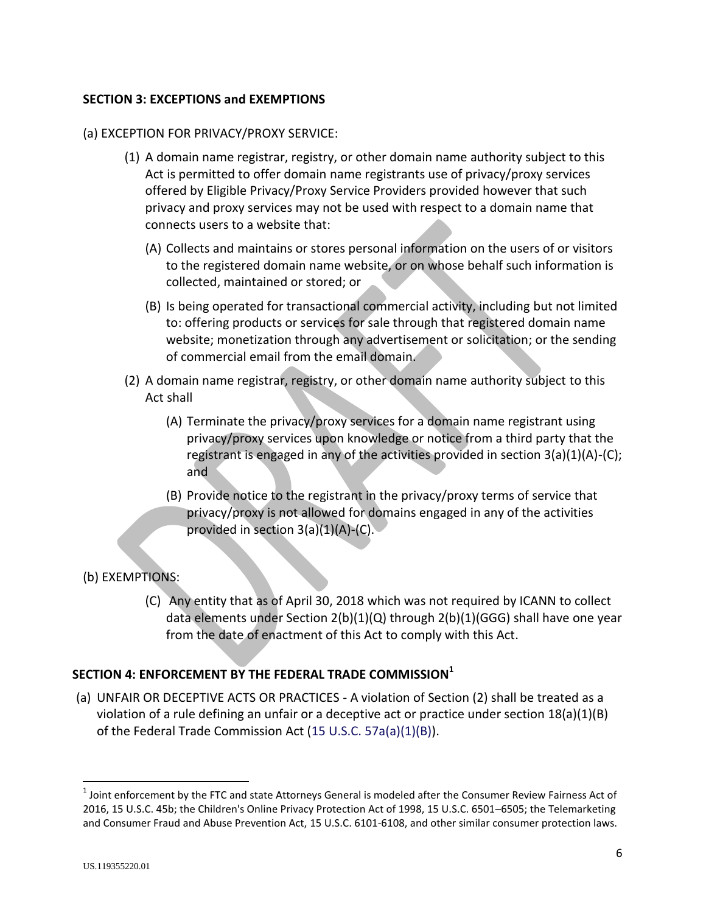## **SECTION 3: EXCEPTIONS and EXEMPTIONS**

## (a) EXCEPTION FOR PRIVACY/PROXY SERVICE:

- (1) A domain name registrar, registry, or other domain name authority subject to this Act is permitted to offer domain name registrants use of privacy/proxy services offered by Eligible Privacy/Proxy Service Providers provided however that such privacy and proxy services may not be used with respect to a domain name that connects users to a website that:
	- (A) Collects and maintains or stores personal information on the users of or visitors to the registered domain name website, or on whose behalf such information is collected, maintained or stored; or
	- (B) Is being operated for transactional commercial activity, including but not limited to: offering products or services for sale through that registered domain name website; monetization through any advertisement or solicitation; or the sending of commercial email from the email domain.
- (2) A domain name registrar, registry, or other domain name authority subject to this Act shall
	- (A) Terminate the privacy/proxy services for a domain name registrant using privacy/proxy services upon knowledge or notice from a third party that the registrant is engaged in any of the activities provided in section 3(a)(1)(A)-(C); and
	- (B) Provide notice to the registrant in the privacy/proxy terms of service that privacy/proxy is not allowed for domains engaged in any of the activities provided in section 3(a)(1)(A)-(C).

# (b) EXEMPTIONS:

(C) Any entity that as of April 30, 2018 which was not required by ICANN to collect data elements under Section 2(b)(1)(Q) through 2(b)(1)(GGG) shall have one year from the date of enactment of this Act to comply with this Act.

# **SECTION 4: ENFORCEMENT BY THE FEDERAL TRADE COMMISSION<sup>1</sup>**

(a) UNFAIR OR DECEPTIVE ACTS OR PRACTICES - A violation of Section (2) shall be treated as a violation of a rule defining an unfair or a deceptive act or practice under section  $18(a)(1)(B)$ of the Federal Trade Commission Act (15 U.S.C. 57a(a)(1)(B)).

 $\overline{\phantom{a}}$ 

 $^1$  Joint enforcement by the FTC and state Attorneys General is modeled after the Consumer Review Fairness Act of 2016, 15 U.S.C. 45b; the [Children's Online Privacy Protection Act of 1998, 15 U.S.C. 6501](http://uscode.house.gov/view.xhtml?req=granuleid%3AUSC-prelim-title15-section6501&edition=prelim)–6505; the Telemarketing and Consumer Fraud and Abuse Prevention Act, 15 U.S.C. 6101-6108, and other similar consumer protection laws.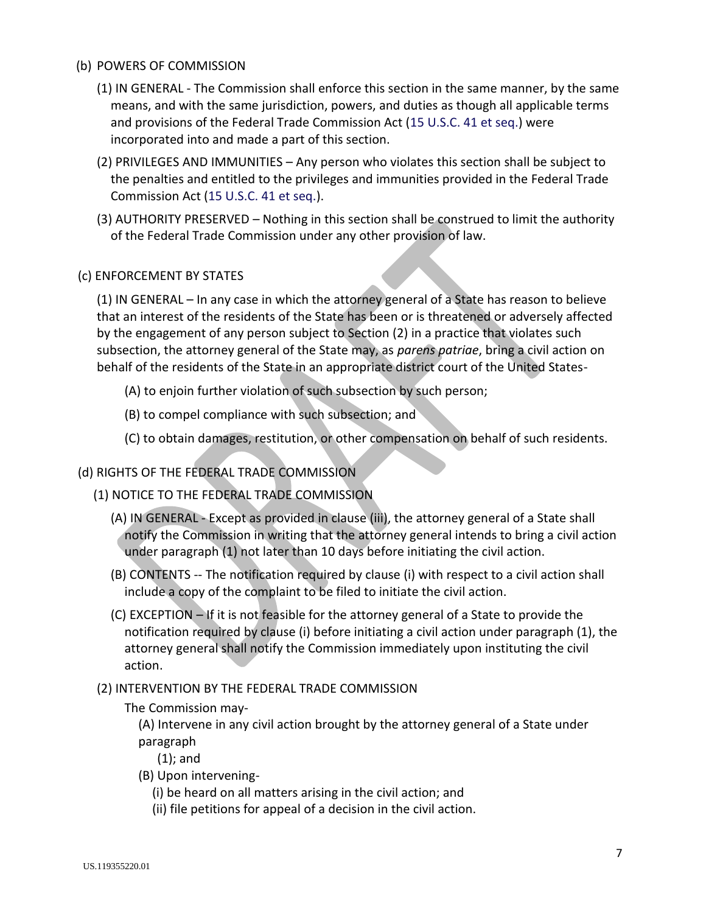# (b) POWERS OF COMMISSION

- (1) IN GENERAL The Commission shall enforce this section in the same manner, by the same means, and with the same jurisdiction, powers, and duties as though all applicable terms and provisions of the Federal Trade Commission Act (15 U.S.C. 41 et seq.) were incorporated into and made a part of this section.
- (2) PRIVILEGES AND IMMUNITIES Any person who violates this section shall be subject to the penalties and entitled to the privileges and immunities provided in the Federal Trade Commission Act (15 U.S.C. 41 et seq.).
- (3) AUTHORITY PRESERVED Nothing in this section shall be construed to limit the authority of the Federal Trade Commission under any other provision of law.

# (c) ENFORCEMENT BY STATES

(1) IN GENERAL – In any case in which the attorney general of a State has reason to believe that an interest of the residents of the State has been or is threatened or adversely affected by the engagement of any person subject to Section (2) in a practice that violates such subsection, the attorney general of the State may, as *parens patriae*, bring a civil action on behalf of the residents of the State in an appropriate district court of the United States-

- (A) to enjoin further violation of such subsection by such person;
- (B) to compel compliance with such subsection; and
- (C) to obtain damages, restitution, or other compensation on behalf of such residents.

# (d) RIGHTS OF THE FEDERAL TRADE COMMISSION

- (1) NOTICE TO THE FEDERAL TRADE COMMISSION
	- (A) IN GENERAL Except as provided in clause (iii), the attorney general of a State shall notify the Commission in writing that the attorney general intends to bring a civil action under paragraph (1) not later than 10 days before initiating the civil action.
	- (B) CONTENTS -- The notification required by clause (i) with respect to a civil action shall include a copy of the complaint to be filed to initiate the civil action.
	- (C) EXCEPTION If it is not feasible for the attorney general of a State to provide the notification required by clause (i) before initiating a civil action under paragraph (1), the attorney general shall notify the Commission immediately upon instituting the civil action.
- (2) INTERVENTION BY THE FEDERAL TRADE COMMISSION
	- The Commission may-

(A) Intervene in any civil action brought by the attorney general of a State under paragraph

- (1); and
- (B) Upon intervening-
	- (i) be heard on all matters arising in the civil action; and
	- (ii) file petitions for appeal of a decision in the civil action.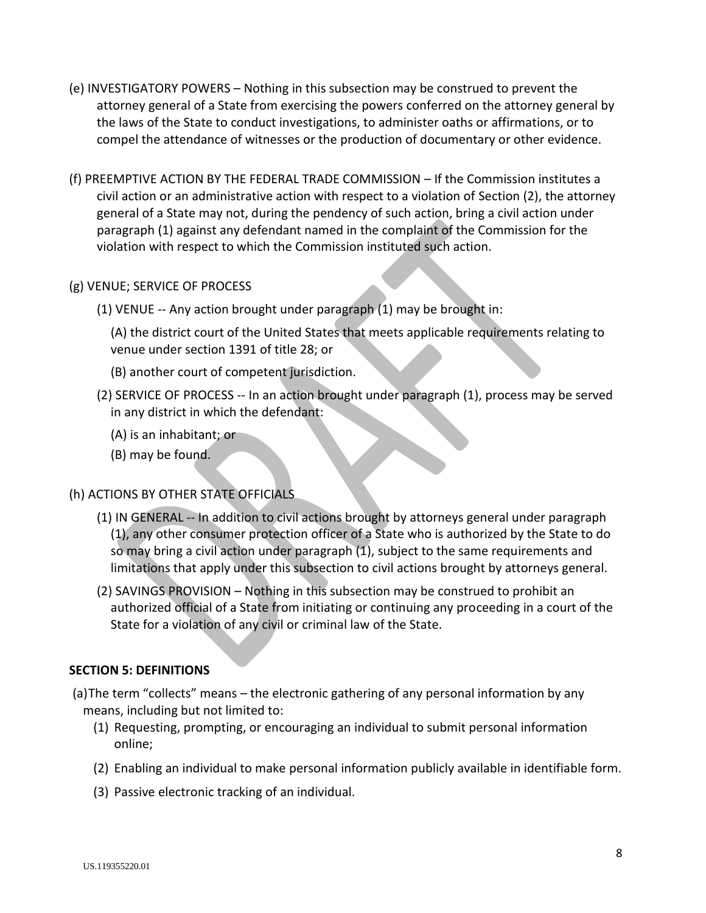- (e) INVESTIGATORY POWERS Nothing in this subsection may be construed to prevent the attorney general of a State from exercising the powers conferred on the attorney general by the laws of the State to conduct investigations, to administer oaths or affirmations, or to compel the attendance of witnesses or the production of documentary or other evidence.
- (f) PREEMPTIVE ACTION BY THE FEDERAL TRADE COMMISSION If the Commission institutes a civil action or an administrative action with respect to a violation of Section (2), the attorney general of a State may not, during the pendency of such action, bring a civil action under paragraph (1) against any defendant named in the complaint of the Commission for the violation with respect to which the Commission instituted such action.

# (g) VENUE; SERVICE OF PROCESS

(1) VENUE -- Any action brought under paragraph (1) may be brought in:

(A) the district court of the United States that meets applicable requirements relating to venue under section 1391 of title 28; or

- (B) another court of competent jurisdiction.
- (2) SERVICE OF PROCESS -- In an action brought under paragraph (1), process may be served in any district in which the defendant:
	- (A) is an inhabitant; or
	- (B) may be found.

# (h) ACTIONS BY OTHER STATE OFFICIALS

- (1) IN GENERAL -- In addition to civil actions brought by attorneys general under paragraph (1), any other consumer protection officer of a State who is authorized by the State to do so may bring a civil action under paragraph (1), subject to the same requirements and limitations that apply under this subsection to civil actions brought by attorneys general.
- (2) SAVINGS PROVISION Nothing in this subsection may be construed to prohibit an authorized official of a State from initiating or continuing any proceeding in a court of the State for a violation of any civil or criminal law of the State.

# **SECTION 5: DEFINITIONS**

- (a)The term "collects" means the electronic gathering of any personal information by any means, including but not limited to:
	- (1) Requesting, prompting, or encouraging an individual to submit personal information online;
	- (2) Enabling an individual to make personal information publicly available in identifiable form.
	- (3) Passive electronic tracking of an individual.